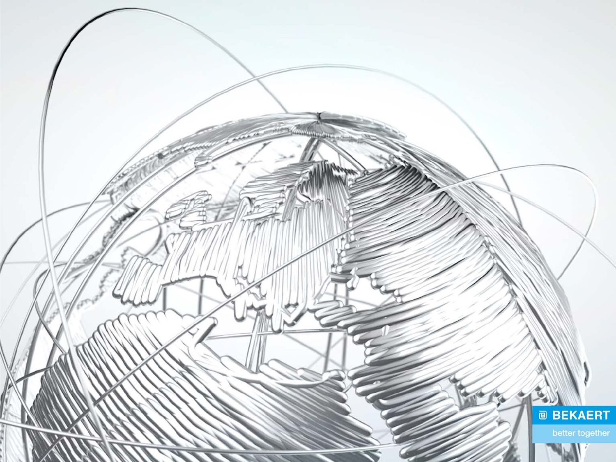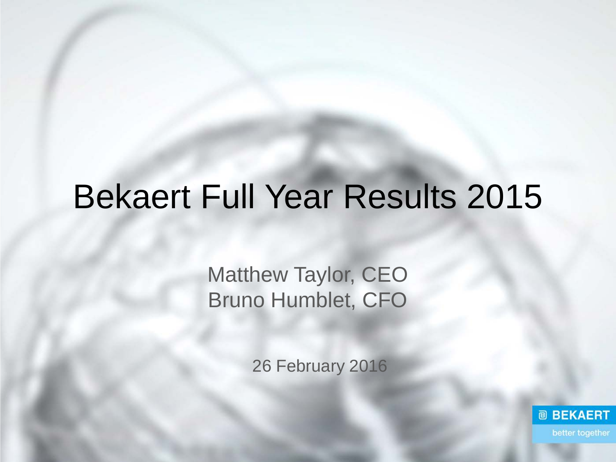### Bekaert Full Year Results 2015

Matthew Taylor, CEO Bruno Humblet, CFO

26 February 2016

![](_page_1_Picture_3.jpeg)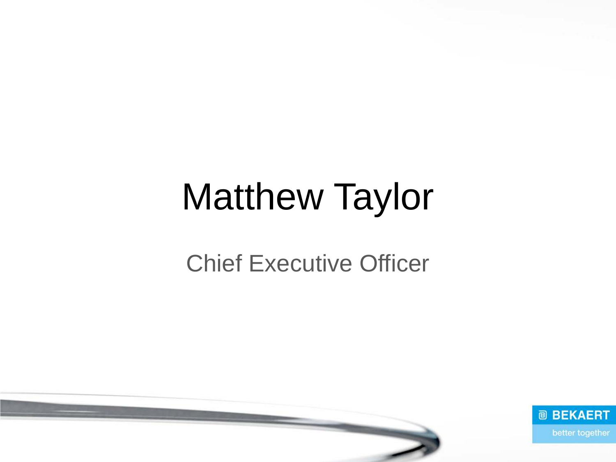# Matthew Taylor

### Chief Executive Officer

![](_page_2_Picture_2.jpeg)

![](_page_2_Picture_3.jpeg)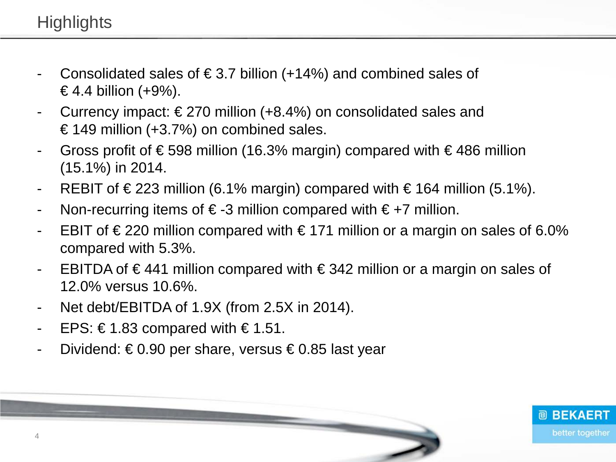- Consolidated sales of  $\epsilon$  3.7 billion (+14%) and combined sales of € 4.4 billion  $(+9%)$ .
- Currency impact: €270 million  $(+8.4%)$  on consolidated sales and € 149 million (+3.7%) on combined sales.
- Gross profit of  $\epsilon$  598 million (16.3% margin) compared with  $\epsilon$  486 million (15.1%) in 2014.
- REBIT of €223 million (6.1% margin) compared with  $€ 164$  million (5.1%).
- Non-recurring items of  $\epsilon$ -3 million compared with  $\epsilon$ +7 million.
- EBIT of €220 million compared with €171 million or a margin on sales of 6.0% compared with 5.3%.

**@ BEKAERT** 

better together

- EBITDA of €441 million compared with €342 million or a margin on sales of 12.0% versus 10.6%.
- Net debt/EBITDA of 1.9X (from 2.5X in 2014).
- EPS: €1.83 compared with  $€1.51$ .
- Dividend: € 0.90 per share, versus € 0.85 last year

![](_page_3_Picture_11.jpeg)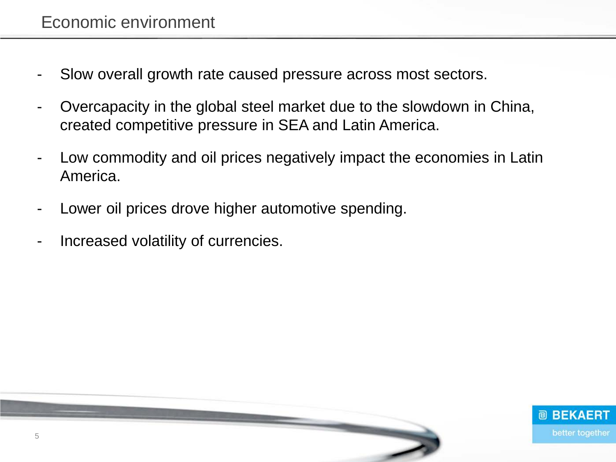- Slow overall growth rate caused pressure across most sectors.
- Overcapacity in the global steel market due to the slowdown in China, created competitive pressure in SEA and Latin America.
- Low commodity and oil prices negatively impact the economies in Latin America.
- Lower oil prices drove higher automotive spending.
- Increased volatility of currencies.

![](_page_4_Picture_6.jpeg)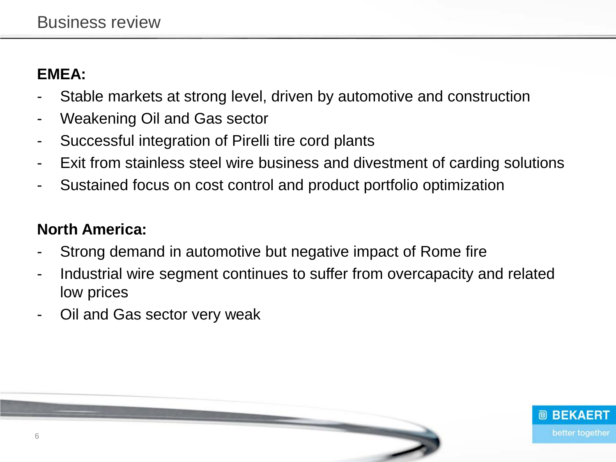#### **EMEA:**

- Stable markets at strong level, driven by automotive and construction
- Weakening Oil and Gas sector
- Successful integration of Pirelli tire cord plants
- Exit from stainless steel wire business and divestment of carding solutions
- Sustained focus on cost control and product portfolio optimization

#### **North America:**

- Strong demand in automotive but negative impact of Rome fire
- Industrial wire segment continues to suffer from overcapacity and related low prices
- Oil and Gas sector very weak

![](_page_5_Picture_11.jpeg)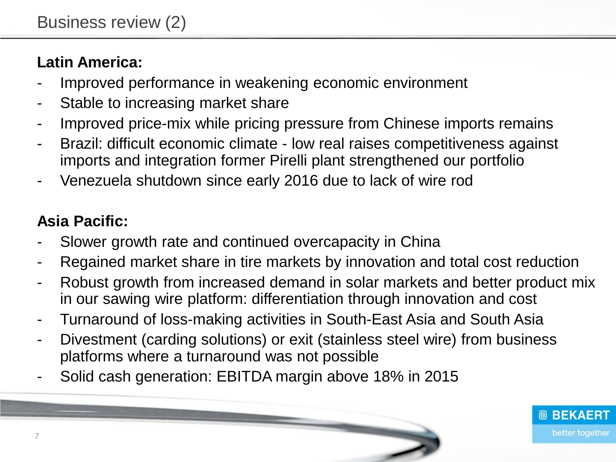#### **Latin America:**

- Improved performance in weakening economic environment
- Stable to increasing market share
- Improved price-mix while pricing pressure from Chinese imports remains
- Brazil: difficult economic climate low real raises competitiveness against imports and integration former Pirelli plant strengthened our portfolio
- Venezuela shutdown since early 2016 due to lack of wire rod

#### **Asia Pacific:**

- Slower growth rate and continued overcapacity in China
- Regained market share in tire markets by innovation and total cost reduction
- Robust growth from increased demand in solar markets and better product mix in our sawing wire platform: differentiation through innovation and cost
- Turnaround of loss-making activities in South-East Asia and South Asia
- Divestment (carding solutions) or exit (stainless steel wire) from business platforms where a turnaround was not possible
- Solid cash generation: EBITDA margin above 18% in 2015

![](_page_6_Picture_14.jpeg)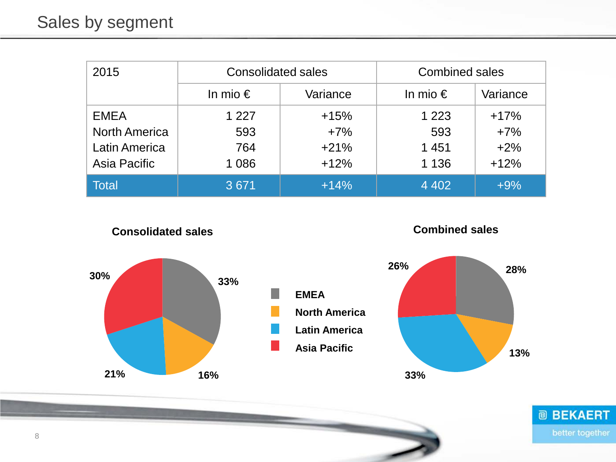| 2015                 | <b>Consolidated sales</b> |          | <b>Combined sales</b> |          |
|----------------------|---------------------------|----------|-----------------------|----------|
|                      | In mio $\epsilon$         | Variance | In mio $\epsilon$     | Variance |
| <b>EMEA</b>          | 1 2 2 7                   | $+15%$   | 1 2 2 3               | $+17%$   |
| <b>North America</b> | 593                       | $+7%$    | 593                   | $+7%$    |
| <b>Latin America</b> | 764                       | $+21%$   | 1451                  | $+2%$    |
| Asia Pacific         | 1 0 8 6                   | $+12%$   | 1 1 3 6               | $+12%$   |
| <b>Total</b>         | 3671                      | $+14%$   | 4 4 0 2               | $+9%$    |

![](_page_7_Figure_2.jpeg)

**Combined sales**

![](_page_7_Figure_4.jpeg)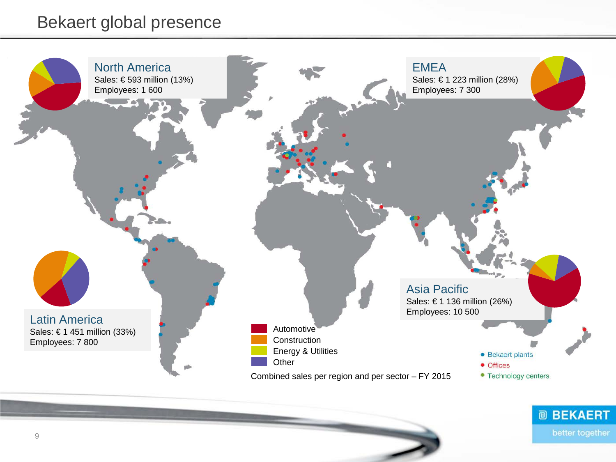#### Bekaert global presence

![](_page_8_Figure_1.jpeg)

![](_page_8_Picture_2.jpeg)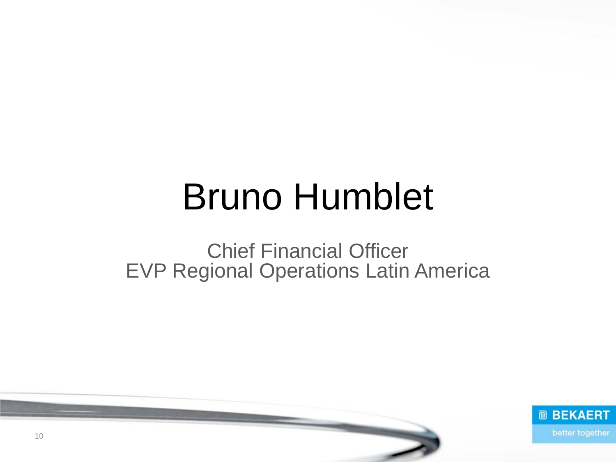## Bruno Humblet

Chief Financial Officer EVP Regional Operations Latin America

![](_page_9_Picture_2.jpeg)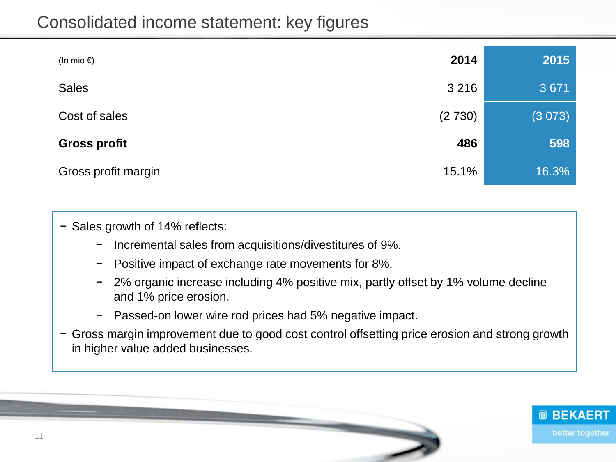| (In mio $\epsilon$ ) | 2014    | 2015    |
|----------------------|---------|---------|
| <b>Sales</b>         | 3 2 1 6 | 3 6 7 1 |
| Cost of sales        | (2730)  | (3073)  |
| <b>Gross profit</b>  | 486     | 598     |
| Gross profit margin  | 15.1%   | 16.3%   |

− Sales growth of 14% reflects:

- − Incremental sales from acquisitions/divestitures of 9%.
- − Positive impact of exchange rate movements for 8%.
- 2% organic increase including 4% positive mix, partly offset by 1% volume decline and 1% price erosion.
- − Passed-on lower wire rod prices had 5% negative impact.
- − Gross margin improvement due to good cost control offsetting price erosion and strong growth in higher value added businesses.

![](_page_10_Picture_8.jpeg)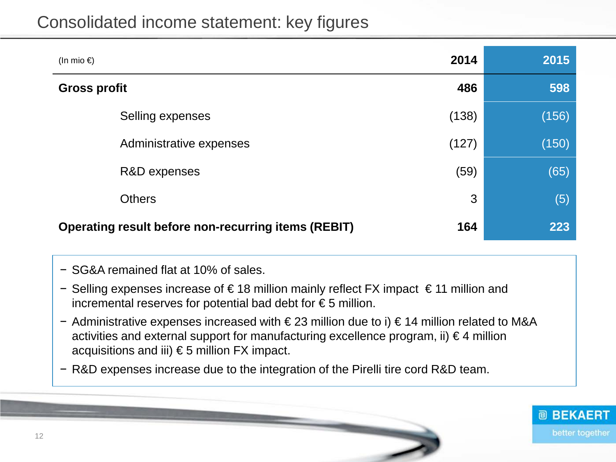| (In mio $\epsilon$ )                                       | 2014  | 2015  |
|------------------------------------------------------------|-------|-------|
| <b>Gross profit</b>                                        | 486   | 598   |
| Selling expenses                                           | (138) | (156) |
| Administrative expenses                                    | (127) | (150) |
| R&D expenses                                               | (59)  | (65)  |
| <b>Others</b>                                              | 3     | (5)   |
| <b>Operating result before non-recurring items (REBIT)</b> | 164   | 223   |

- − SG&A remained flat at 10% of sales.
- − Selling expenses increase of € 18 million mainly reflect FX impact € 11 million and incremental reserves for potential bad debt for  $\epsilon$  5 million.
- − Administrative expenses increased with € 23 million due to i) € 14 million related to M&A activities and external support for manufacturing excellence program, ii)  $\epsilon$  4 million acquisitions and iii)  $\epsilon$ 5 million FX impact.
- − R&D expenses increase due to the integration of the Pirelli tire cord R&D team.

![](_page_11_Picture_6.jpeg)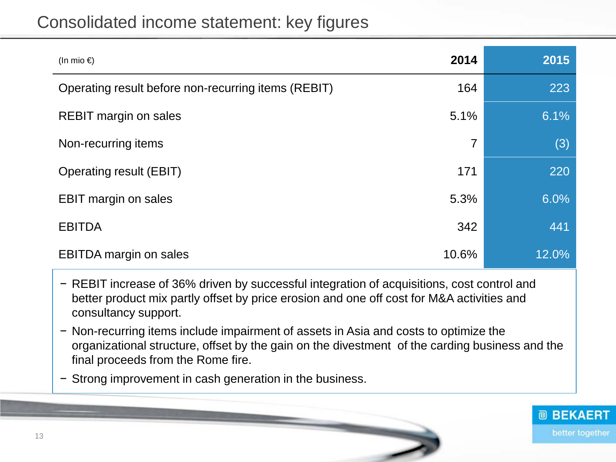| (In mio $\epsilon$ )                                | 2014  | 2015  |
|-----------------------------------------------------|-------|-------|
| Operating result before non-recurring items (REBIT) | 164   | 223   |
| <b>REBIT margin on sales</b>                        | 5.1%  | 6.1%  |
| Non-recurring items                                 | 7     | (3)   |
| <b>Operating result (EBIT)</b>                      | 171   | 220   |
| <b>EBIT margin on sales</b>                         | 5.3%  | 6.0%  |
| <b>EBITDA</b>                                       | 342   | 441   |
| <b>EBITDA</b> margin on sales                       | 10.6% | 12.0% |

- − REBIT increase of 36% driven by successful integration of acquisitions, cost control and better product mix partly offset by price erosion and one off cost for M&A activities and consultancy support.
- − Non-recurring items include impairment of assets in Asia and costs to optimize the organizational structure, offset by the gain on the divestment of the carding business and the final proceeds from the Rome fire.
- − Strong improvement in cash generation in the business.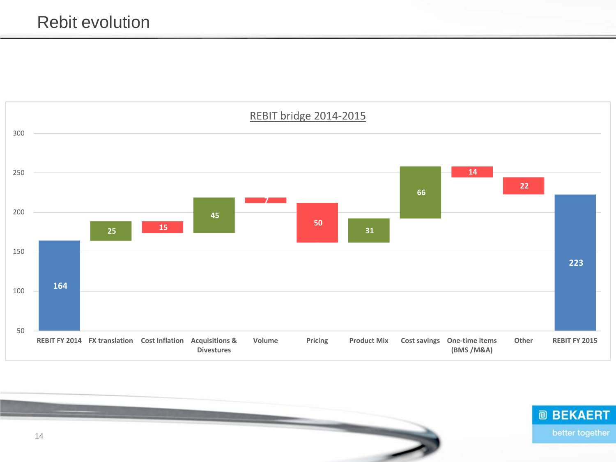![](_page_13_Figure_1.jpeg)

![](_page_13_Picture_2.jpeg)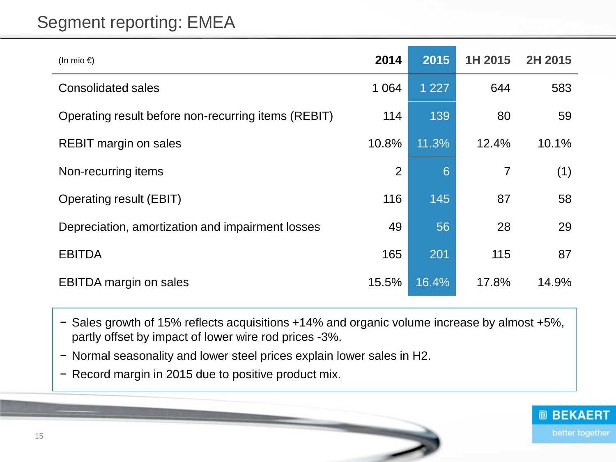#### Segment reporting: EMEA

| (In mio $\epsilon$ )                                | 2014           | 2015    | 1H 2015        | 2H 2015 |
|-----------------------------------------------------|----------------|---------|----------------|---------|
| <b>Consolidated sales</b>                           | 1 0 6 4        | 1 2 2 7 | 644            | 583     |
| Operating result before non-recurring items (REBIT) | 114            | 139     | 80             | 59      |
| <b>REBIT margin on sales</b>                        | 10.8%          | 11.3%   | 12.4%          | 10.1%   |
| Non-recurring items                                 | $\overline{2}$ | 6       | $\overline{7}$ | (1)     |
| Operating result (EBIT)                             | 116            | 145     | 87             | 58      |
| Depreciation, amortization and impairment losses    | 49             | 56      | 28             | 29      |
| <b>EBITDA</b>                                       | 165            | 201     | 115            | 87      |
| <b>EBITDA</b> margin on sales                       | 15.5%          | 16.4%   | 17.8%          | 14.9%   |

- − Sales growth of 15% reflects acquisitions +14% and organic volume increase by almost +5%, partly offset by impact of lower wire rod prices -3%.
- − Normal seasonality and lower steel prices explain lower sales in H2.
- − Record margin in 2015 due to positive product mix.

![](_page_14_Picture_5.jpeg)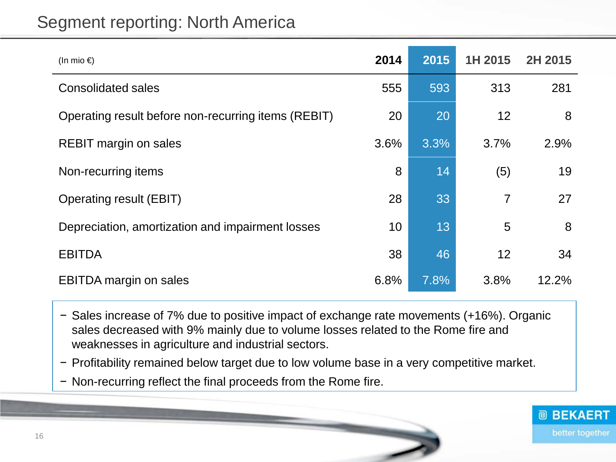#### Segment reporting: North America

| (In mio $\epsilon$ )                                | 2014 | 2015 | 1H 2015        | 2H 2015 |
|-----------------------------------------------------|------|------|----------------|---------|
| <b>Consolidated sales</b>                           | 555  | 593  | 313            | 281     |
| Operating result before non-recurring items (REBIT) | 20   | 20   | 12             | 8       |
| <b>REBIT margin on sales</b>                        | 3.6% | 3.3% | 3.7%           | 2.9%    |
| Non-recurring items                                 | 8    | 14   | (5)            | 19      |
| <b>Operating result (EBIT)</b>                      | 28   | 33   | $\overline{7}$ | 27      |
| Depreciation, amortization and impairment losses    | 10   | 13   | 5              | 8       |
| <b>EBITDA</b>                                       | 38   | 46   | 12             | 34      |
| <b>EBITDA</b> margin on sales                       | 6.8% | 7.8% | 3.8%           | 12.2%   |

− Sales increase of 7% due to positive impact of exchange rate movements (+16%). Organic sales decreased with 9% mainly due to volume losses related to the Rome fire and weaknesses in agriculture and industrial sectors.

− Profitability remained below target due to low volume base in a very competitive market.

− Non-recurring reflect the final proceeds from the Rome fire.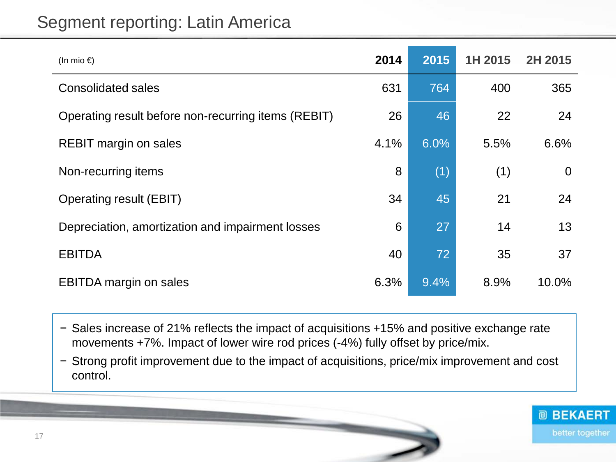#### Segment reporting: Latin America

| (In mio $\epsilon$ )                                | 2014 | 2015 | 1H 2015 | 2H 2015        |
|-----------------------------------------------------|------|------|---------|----------------|
| <b>Consolidated sales</b>                           | 631  | 764  | 400     | 365            |
| Operating result before non-recurring items (REBIT) | 26   | 46   | 22      | 24             |
| <b>REBIT margin on sales</b>                        | 4.1% | 6.0% | 5.5%    | 6.6%           |
| Non-recurring items                                 | 8    | (1)  | (1)     | $\overline{0}$ |
| Operating result (EBIT)                             | 34   | 45   | 21      | 24             |
| Depreciation, amortization and impairment losses    | 6    | 27   | 14      | 13             |
| <b>EBITDA</b>                                       | 40   | 72   | 35      | 37             |
| <b>EBITDA</b> margin on sales                       | 6.3% | 9.4% | 8.9%    | 10.0%          |

− Sales increase of 21% reflects the impact of acquisitions +15% and positive exchange rate movements +7%. Impact of lower wire rod prices (-4%) fully offset by price/mix.

− Strong profit improvement due to the impact of acquisitions, price/mix improvement and cost control.

![](_page_16_Picture_4.jpeg)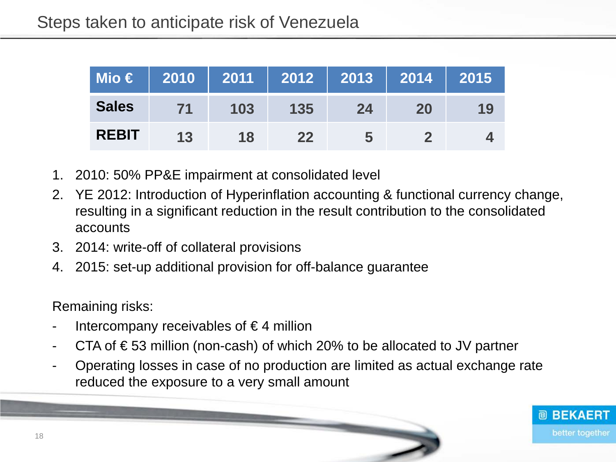|              |    | Mio €   2010   2011   2012   2013   2014   2015 |     |    |    |    |
|--------------|----|-------------------------------------------------|-----|----|----|----|
| <b>Sales</b> | 71 | 103                                             | 135 | 24 | 20 | 19 |
| <b>REBIT</b> | 13 | 18                                              | 22  |    |    |    |

- 1. 2010: 50% PP&E impairment at consolidated level
- 2. YE 2012: Introduction of Hyperinflation accounting & functional currency change, resulting in a significant reduction in the result contribution to the consolidated accounts
- 3. 2014: write-off of collateral provisions
- 4. 2015: set-up additional provision for off-balance guarantee

Remaining risks:

- Intercompany receivables of  $\epsilon$ 4 million
- CTA of  $\epsilon$  53 million (non-cash) of which 20% to be allocated to JV partner
- Operating losses in case of no production are limited as actual exchange rate reduced the exposure to a very small amount

![](_page_17_Picture_10.jpeg)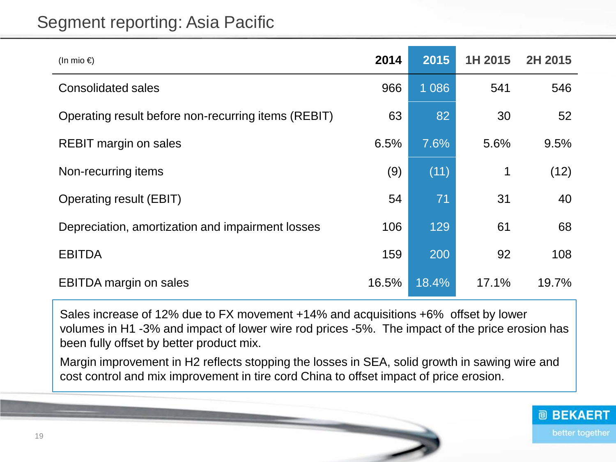#### Segment reporting: Asia Pacific

| (In mio $\epsilon$ )                                | 2014  | 2015    | 1H 2015     | 2H 2015 |
|-----------------------------------------------------|-------|---------|-------------|---------|
| <b>Consolidated sales</b>                           | 966   | 1 0 8 6 | 541         | 546     |
| Operating result before non-recurring items (REBIT) | 63    | 82      | 30          | 52      |
| <b>REBIT margin on sales</b>                        | 6.5%  | 7.6%    | 5.6%        | 9.5%    |
| Non-recurring items                                 | (9)   | (11)    | $\mathbf 1$ | (12)    |
| Operating result (EBIT)                             | 54    | 71      | 31          | 40      |
| Depreciation, amortization and impairment losses    | 106   | 129     | 61          | 68      |
| <b>EBITDA</b>                                       | 159   | 200     | 92          | 108     |
| <b>EBITDA</b> margin on sales                       | 16.5% | 18.4%   | 17.1%       | 19.7%   |

Sales increase of 12% due to FX movement +14% and acquisitions +6% offset by lower volumes in H1 -3% and impact of lower wire rod prices -5%. The impact of the price erosion has been fully offset by better product mix.

Margin improvement in H2 reflects stopping the losses in SEA, solid growth in sawing wire and cost control and mix improvement in tire cord China to offset impact of price erosion.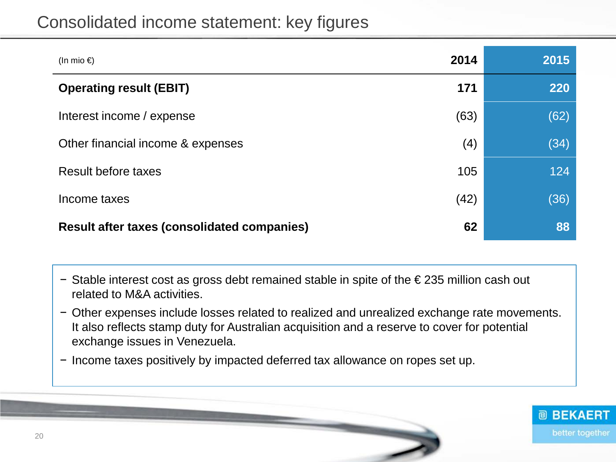| (In mio $\epsilon$ )                               | 2014 | 2015 |
|----------------------------------------------------|------|------|
| <b>Operating result (EBIT)</b>                     | 171  | 220  |
| Interest income / expense                          | (63) | (62) |
| Other financial income & expenses                  | (4)  | (34) |
| <b>Result before taxes</b>                         | 105  | 124  |
| Income taxes                                       | (42) | (36) |
| <b>Result after taxes (consolidated companies)</b> | 62   | 88   |

- − Stable interest cost as gross debt remained stable in spite of the € 235 million cash out related to M&A activities.
- − Other expenses include losses related to realized and unrealized exchange rate movements. It also reflects stamp duty for Australian acquisition and a reserve to cover for potential exchange issues in Venezuela.
- − Income taxes positively by impacted deferred tax allowance on ropes set up.

![](_page_19_Picture_5.jpeg)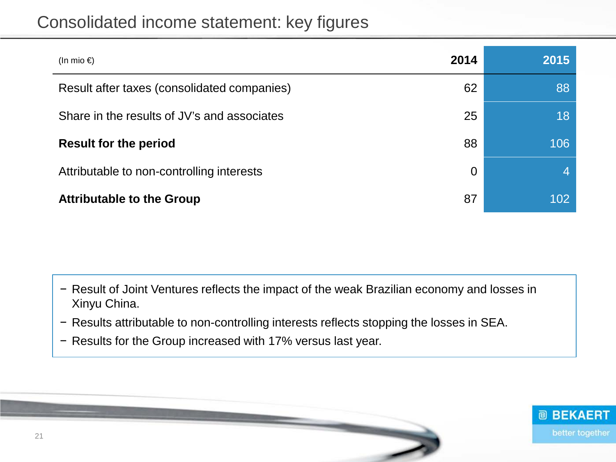| (In mio $\in$ )                             | 2014 | 2015           |
|---------------------------------------------|------|----------------|
| Result after taxes (consolidated companies) | 62   | 88             |
| Share in the results of JV's and associates | 25   | 18             |
| <b>Result for the period</b>                | 88   | 106            |
| Attributable to non-controlling interests   | 0    | $\overline{4}$ |
| <b>Attributable to the Group</b>            | 87   | 102            |

- − Result of Joint Ventures reflects the impact of the weak Brazilian economy and losses in Xinyu China.
- − Results attributable to non-controlling interests reflects stopping the losses in SEA.
- − Results for the Group increased with 17% versus last year.

![](_page_20_Picture_5.jpeg)

21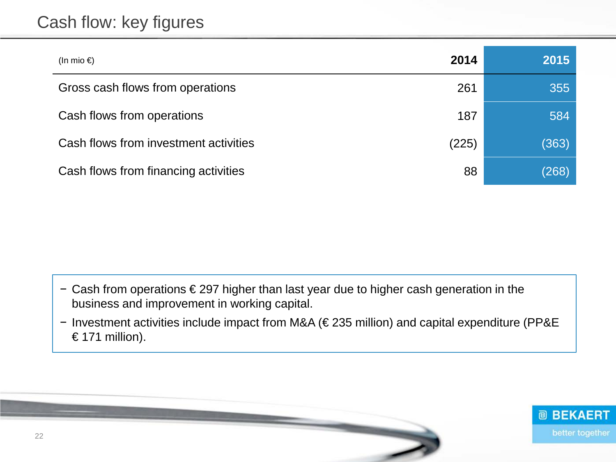#### Cash flow: key figures

| (In mio $\in$ )                       | 2014  | 2015  |
|---------------------------------------|-------|-------|
| Gross cash flows from operations      | 261   | 355   |
| Cash flows from operations            | 187   | 584   |
| Cash flows from investment activities | (225) | (363) |
| Cash flows from financing activities  | 88    | (268) |

− Cash from operations € 297 higher than last year due to higher cash generation in the business and improvement in working capital.

− Investment activities include impact from M&A (€ 235 million) and capital expenditure (PP&E € 171 million).

![](_page_21_Picture_4.jpeg)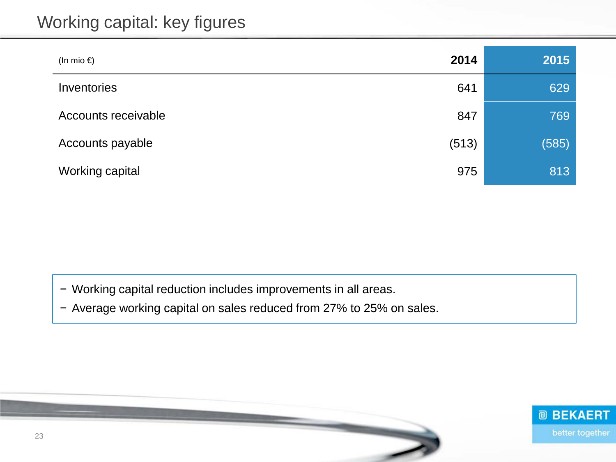#### Working capital: key figures

| (In mio $\epsilon$ ) | 2014  | 2015  |
|----------------------|-------|-------|
| Inventories          | 641   | 629   |
| Accounts receivable  | 847   | 769   |
| Accounts payable     | (513) | (585) |
| Working capital      | 975   | 813   |

− Working capital reduction includes improvements in all areas.

− Average working capital on sales reduced from 27% to 25% on sales.

![](_page_22_Picture_4.jpeg)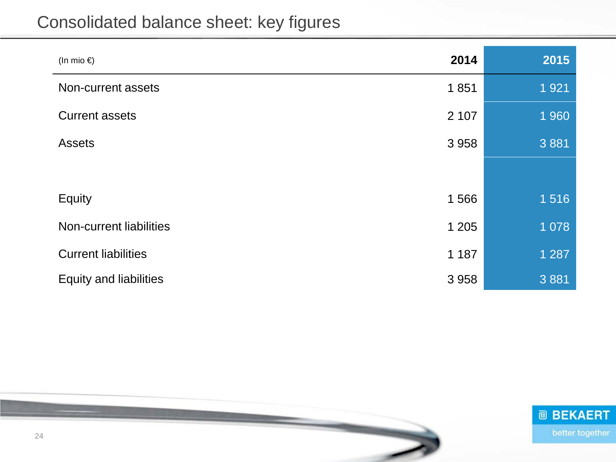#### Consolidated balance sheet: key figures

| (In mio $\epsilon$ )          | 2014    | 2015    |
|-------------------------------|---------|---------|
| Non-current assets            | 1851    | 1921    |
| <b>Current assets</b>         | 2 107   | 1 9 6 0 |
| <b>Assets</b>                 | 3 9 5 8 | 3881    |
|                               |         |         |
| <b>Equity</b>                 | 1566    | 1516    |
| Non-current liabilities       | 1 2 0 5 | 1 0 7 8 |
| <b>Current liabilities</b>    | 1 1 8 7 | 1 2 8 7 |
| <b>Equity and liabilities</b> | 3 9 5 8 | 3881    |

![](_page_23_Picture_2.jpeg)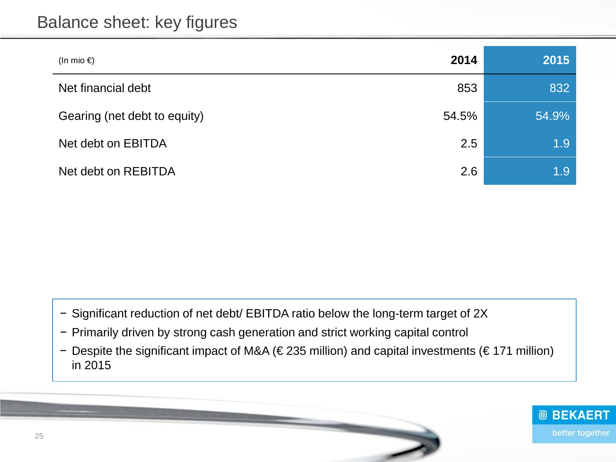#### Balance sheet: key figures

| (In mio $\in$ )              | 2014  | 2015  |
|------------------------------|-------|-------|
| Net financial debt           | 853   | 832   |
| Gearing (net debt to equity) | 54.5% | 54.9% |
| Net debt on EBITDA           | 2.5   | 1.9   |
| Net debt on REBITDA          | 2.6   | 1.9   |

- − Significant reduction of net debt/ EBITDA ratio below the long-term target of 2X
- − Primarily driven by strong cash generation and strict working capital control
- − Despite the significant impact of M&A (€ 235 million) and capital investments (€ 171 million) in 2015

![](_page_24_Picture_5.jpeg)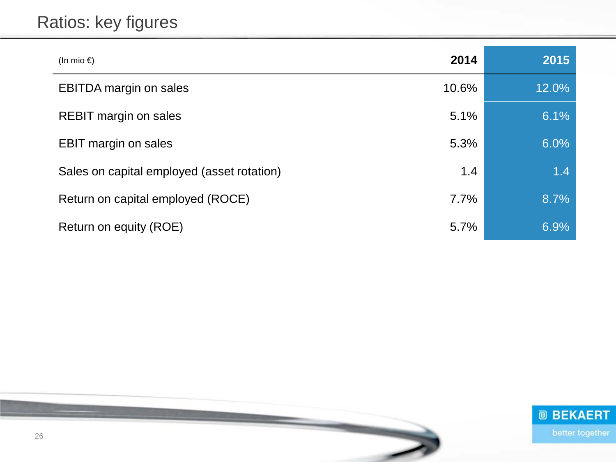#### Ratios: key figures

| (In mio $\epsilon$ )                       | 2014  | 2015  |
|--------------------------------------------|-------|-------|
| <b>EBITDA</b> margin on sales              | 10.6% | 12.0% |
| <b>REBIT margin on sales</b>               | 5.1%  | 6.1%  |
| <b>EBIT margin on sales</b>                | 5.3%  | 6.0%  |
| Sales on capital employed (asset rotation) | 1.4   | 1.4   |
| Return on capital employed (ROCE)          | 7.7%  | 8.7%  |
| Return on equity (ROE)                     | 5.7%  | 6.9%  |

![](_page_25_Picture_2.jpeg)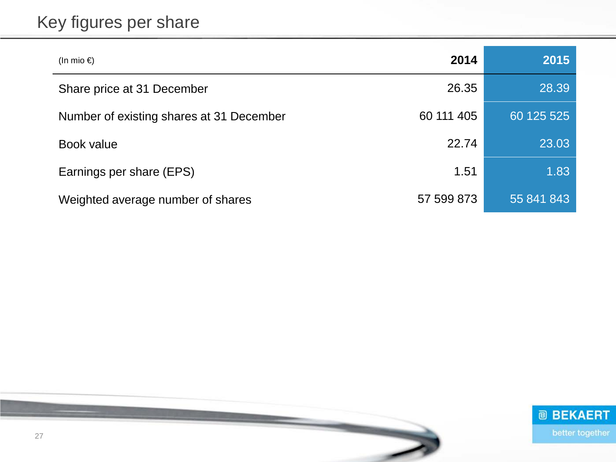#### Key figures per share

| (In mio $\epsilon$ )                     | 2014       | 2015       |
|------------------------------------------|------------|------------|
| Share price at 31 December               | 26.35      | 28.39      |
| Number of existing shares at 31 December | 60 111 405 | 60 125 525 |
| Book value                               | 22.74      | 23.03      |
| Earnings per share (EPS)                 | 1.51       | 1.83       |
| Weighted average number of shares        | 57 599 873 | 55 841 843 |

![](_page_26_Picture_2.jpeg)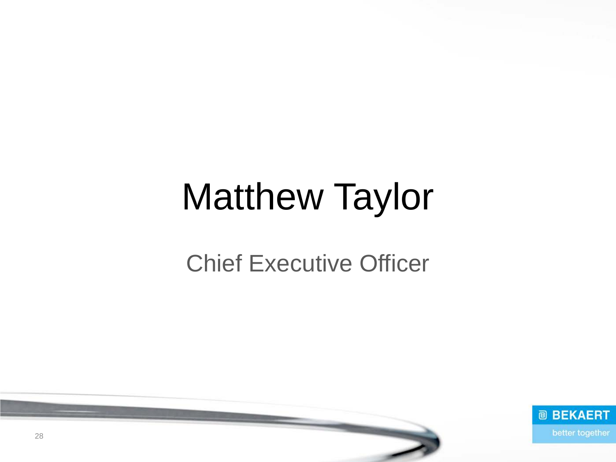# Matthew Taylor

### Chief Executive Officer

![](_page_27_Picture_2.jpeg)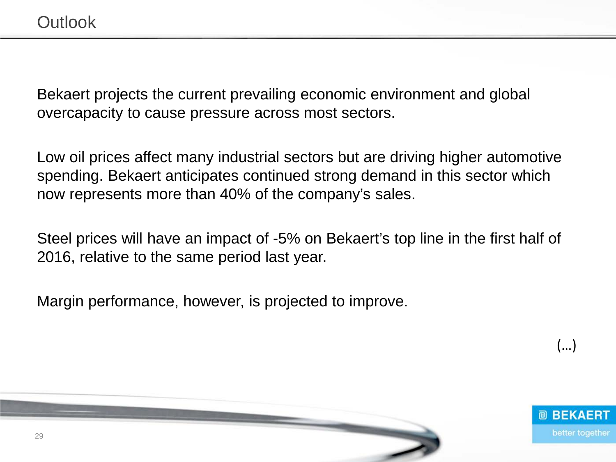Bekaert projects the current prevailing economic environment and global overcapacity to cause pressure across most sectors.

Low oil prices affect many industrial sectors but are driving higher automotive spending. Bekaert anticipates continued strong demand in this sector which now represents more than 40% of the company's sales.

Steel prices will have an impact of -5% on Bekaert's top line in the first half of 2016, relative to the same period last year.

Margin performance, however, is projected to improve.

![](_page_28_Picture_6.jpeg)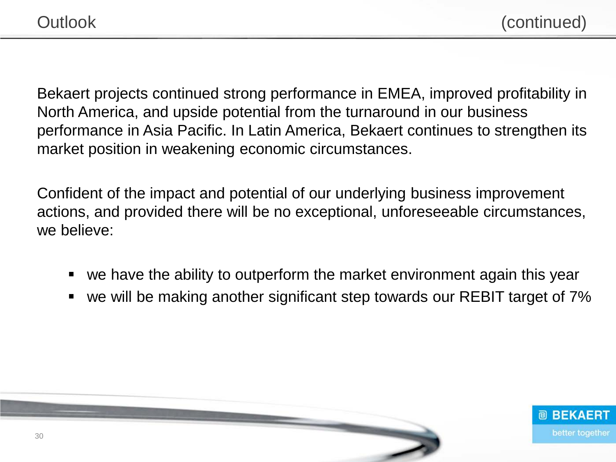Bekaert projects continued strong performance in EMEA, improved profitability in North America, and upside potential from the turnaround in our business performance in Asia Pacific. In Latin America, Bekaert continues to strengthen its market position in weakening economic circumstances.

Confident of the impact and potential of our underlying business improvement actions, and provided there will be no exceptional, unforeseeable circumstances, we believe:

- we have the ability to outperform the market environment again this year
- we will be making another significant step towards our REBIT target of 7%

![](_page_29_Picture_6.jpeg)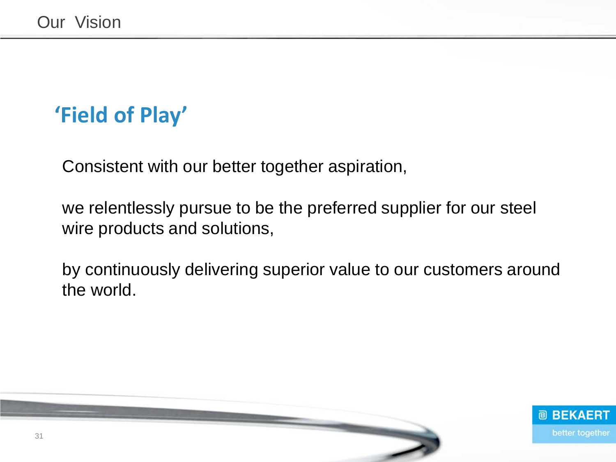### **'Field of Play'**

Consistent with our better together aspiration,

we relentlessly pursue to be the preferred supplier for our steel wire products and solutions,

by continuously delivering superior value to our customers around the world.

![](_page_30_Picture_5.jpeg)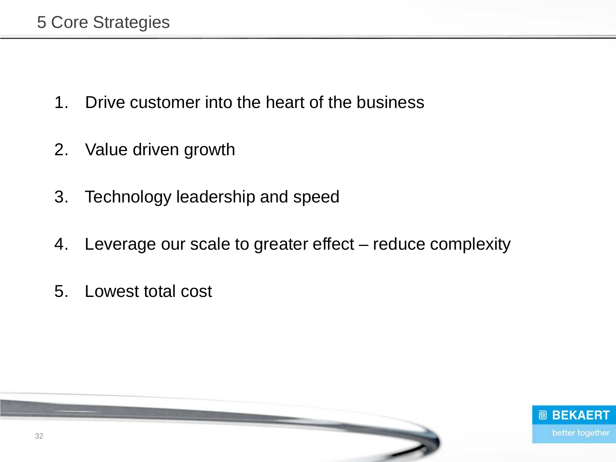- 1. Drive customer into the heart of the business
- 2. Value driven growth
- 3. Technology leadership and speed
- 4. Leverage our scale to greater effect reduce complexity
- 5. Lowest total cost

![](_page_31_Picture_6.jpeg)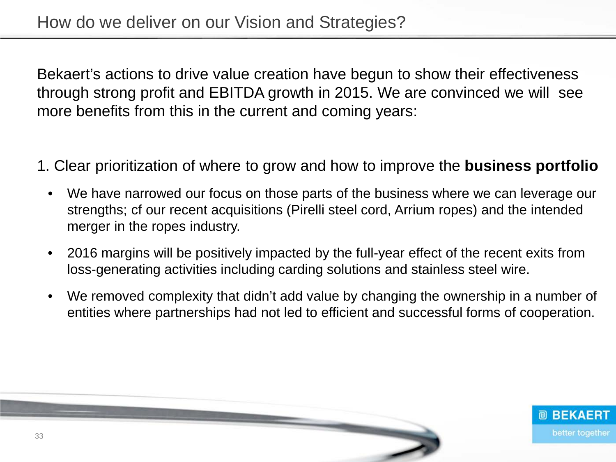Bekaert's actions to drive value creation have begun to show their effectiveness through strong profit and EBITDA growth in 2015. We are convinced we will see more benefits from this in the current and coming years:

1. Clear prioritization of where to grow and how to improve the **business portfolio**

- We have narrowed our focus on those parts of the business where we can leverage our strengths; cf our recent acquisitions (Pirelli steel cord, Arrium ropes) and the intended merger in the ropes industry.
- 2016 margins will be positively impacted by the full-year effect of the recent exits from loss-generating activities including carding solutions and stainless steel wire.
- We removed complexity that didn't add value by changing the ownership in a number of entities where partnerships had not led to efficient and successful forms of cooperation.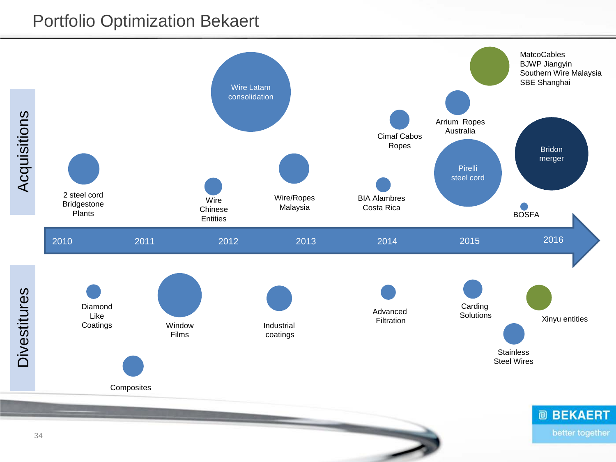#### Portfolio Optimization Bekaert

![](_page_33_Figure_1.jpeg)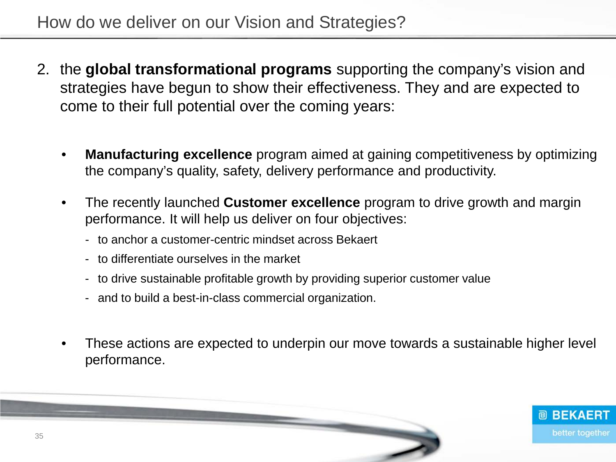- 2. the **global transformational programs** supporting the company's vision and strategies have begun to show their effectiveness. They and are expected to come to their full potential over the coming years:
	- **Manufacturing excellence** program aimed at gaining competitiveness by optimizing the company's quality, safety, delivery performance and productivity.
	- The recently launched **Customer excellence** program to drive growth and margin performance. It will help us deliver on four objectives:
		- to anchor a customer-centric mindset across Bekaert
		- to differentiate ourselves in the market
		- to drive sustainable profitable growth by providing superior customer value
		- and to build a best-in-class commercial organization.
	- These actions are expected to underpin our move towards a sustainable higher level performance.

![](_page_34_Picture_9.jpeg)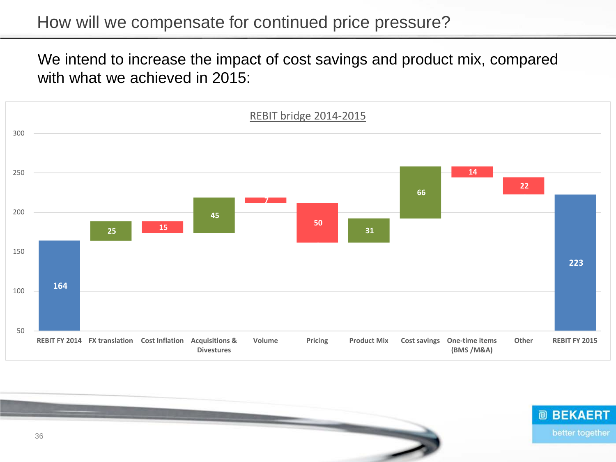We intend to increase the impact of cost savings and product mix, compared with what we achieved in 2015:

![](_page_35_Figure_2.jpeg)

![](_page_35_Picture_3.jpeg)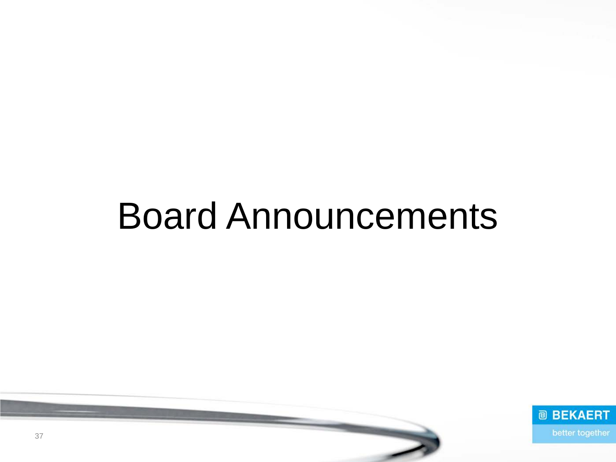## Board Announcements

![](_page_36_Picture_1.jpeg)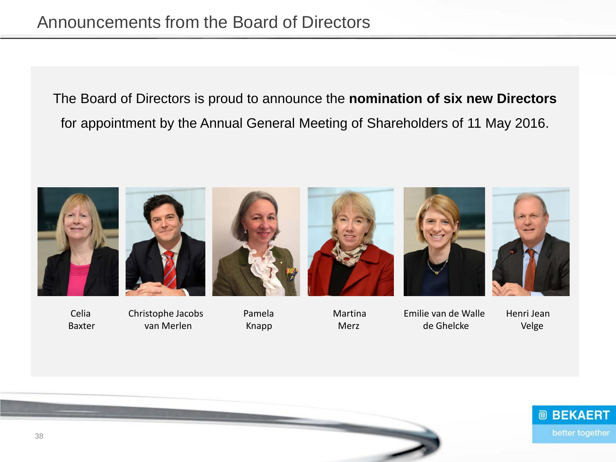The Board of Directors is proud to announce the **nomination of six new Directors** for appointment by the Annual General Meeting of Shareholders of 11 May 2016.

![](_page_37_Picture_2.jpeg)

Baxter van Merlen Knapp Merz Merz de Ghelcke Velge

![](_page_37_Picture_9.jpeg)

38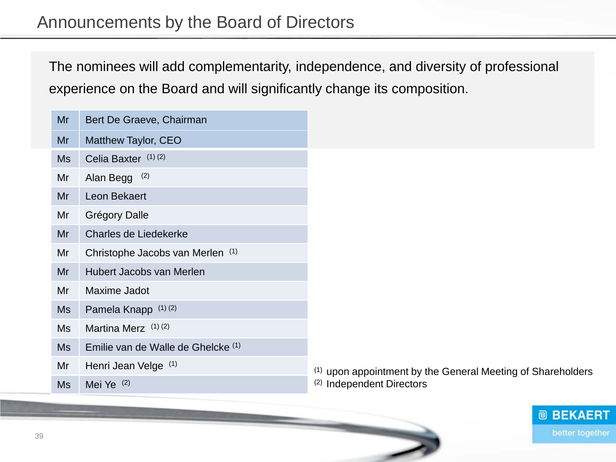The nominees will add complementarity, independence, and diversity of professional experience on the Board and will significantly change its composition.

| Mr | Bert De Graeve, Chairman           |
|----|------------------------------------|
| Mr | Matthew Taylor, CEO                |
| Ms | Celia Baxter (1)(2)                |
| Mr | (2)<br>Alan Begg                   |
| Mr | Leon Bekaert                       |
| Mr | Grégory Dalle                      |
| Mr | <b>Charles de Liedekerke</b>       |
| Mr | Christophe Jacobs van Merlen (1)   |
| Mr | Hubert Jacobs van Merlen           |
| Mr | <b>Maxime Jadot</b>                |
| Ms | Pamela Knapp (1) (2)               |
| Ms | Martina Merz <sup>(1)(2)</sup>     |
| Ms | Emilie van de Walle de Ghelcke (1) |
| Mr | Henri Jean Velge (1)               |
| Ms | Mei Ye $(2)$                       |

 $1$  upon appointment by the General Meeting of Shareholders <sup>2)</sup> Independent Directors

![](_page_38_Picture_4.jpeg)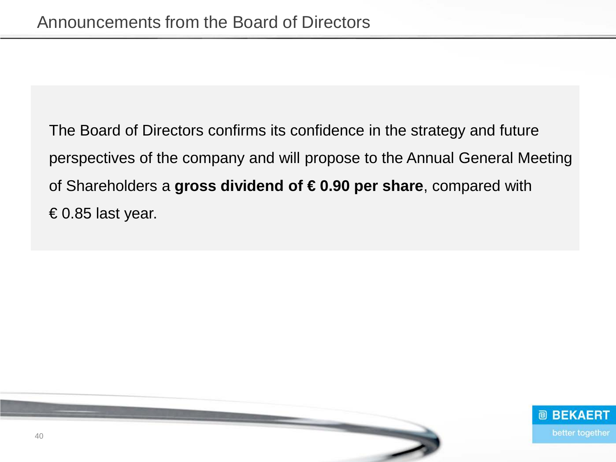The Board of Directors confirms its confidence in the strategy and future perspectives of the company and will propose to the Annual General Meeting of Shareholders a **gross dividend of € 0.90 per share**, compared with € 0.85 last year.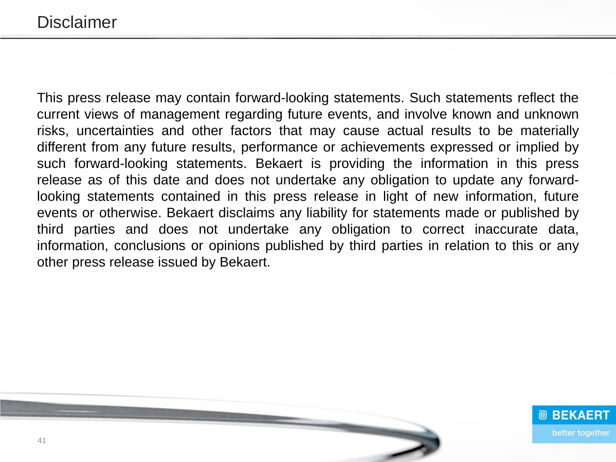This press release may contain forward-looking statements. Such statements reflect the current views of management regarding future events, and involve known and unknown risks, uncertainties and other factors that may cause actual results to be materially different from any future results, performance or achievements expressed or implied by such forward-looking statements. Bekaert is providing the information in this press release as of this date and does not undertake any obligation to update any forwardlooking statements contained in this press release in light of new information, future events or otherwise. Bekaert disclaims any liability for statements made or published by third parties and does not undertake any obligation to correct inaccurate data, information, conclusions or opinions published by third parties in relation to this or any other press release issued by Bekaert.

![](_page_40_Picture_2.jpeg)